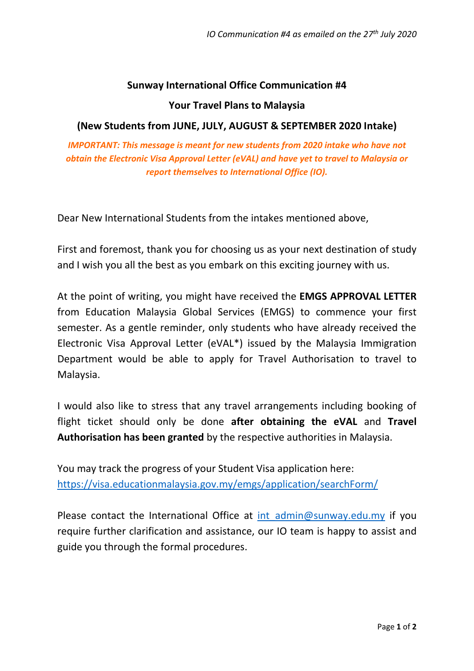### **Sunway International Office Communication #4**

#### **Your Travel Plans to Malaysia**

#### **(New Students from JUNE, JULY, AUGUST & SEPTEMBER 2020 Intake)**

*IMPORTANT: This message is meant for new students from 2020 intake who have not obtain the Electronic Visa Approval Letter (eVAL) and have yet to travel to Malaysia or report themselves to International Office (IO).*

Dear New International Students from the intakes mentioned above,

First and foremost, thank you for choosing us as your next destination of study and I wish you all the best as you embark on this exciting journey with us.

At the point of writing, you might have received the **EMGS APPROVAL LETTER** from Education Malaysia Global Services (EMGS) to commence your first semester. As a gentle reminder, only students who have already received the Electronic Visa Approval Letter (eVAL\*) issued by the Malaysia Immigration Department would be able to apply for Travel Authorisation to travel to Malaysia.

I would also like to stress that any travel arrangements including booking of flight ticket should only be done **after obtaining the eVAL** and **Travel Authorisation has been granted** by the respective authorities in Malaysia.

You may track the progress of your Student Visa application here: <https://visa.educationmalaysia.gov.my/emgs/application/searchForm/>

Please contact the International Office at int admin@sunway.edu.my if you require further clarification and assistance, our IO team is happy to assist and guide you through the formal procedures.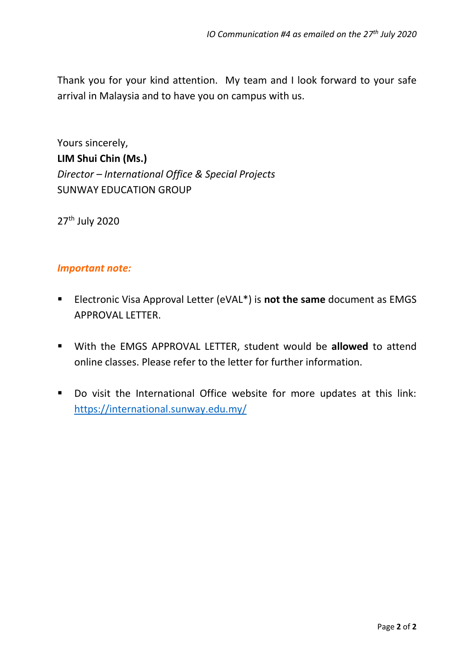Thank you for your kind attention. My team and I look forward to your safe arrival in Malaysia and to have you on campus with us.

Yours sincerely, **LIM Shui Chin (Ms.)** *Director – International Office & Special Projects* SUNWAY EDUCATION GROUP

27<sup>th</sup> July 2020

#### *Important note:*

- Electronic Visa Approval Letter (eVAL<sup>\*</sup>) is **not the same** document as EMGS APPROVAL LETTER.
- With the EMGS APPROVAL LETTER, student would be **allowed** to attend online classes. Please refer to the letter for further information.
- Do visit the International Office website for more updates at this link: <https://international.sunway.edu.my/>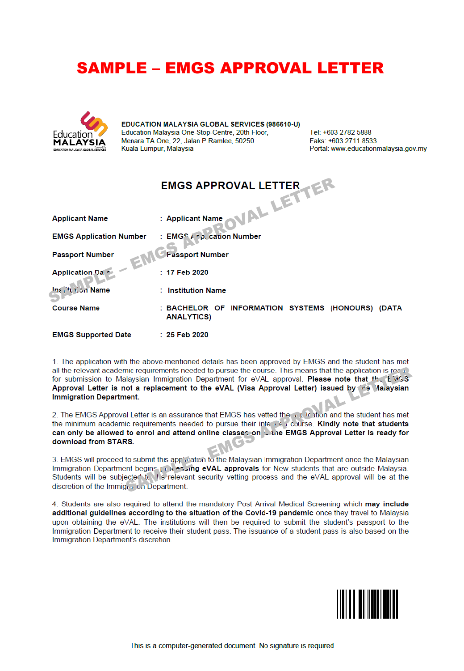## **SAMPLE - EMGS APPROVAL LETTER**



EDUCATION MALAYSIA GLOBAL SERVICES (986610-U) Education Malaysia One-Stop-Centre, 20th Floor, Menara TA One, 22, Jalan P.Ramlee, 50250 Kuala Lumpur, Malaysia

Tel: +603 2782 5888 Faks: +603 2711 8533 Portal: www.educationmalaysia.gov.my

|                                | <b>EMGS APPROVAL LETTER</b>                                           |
|--------------------------------|-----------------------------------------------------------------------|
|                                | IAL LETT                                                              |
| <b>Applicant Name</b>          | : Applicant Name                                                      |
| <b>EMGS Application Number</b> | : EMGS $F \circ \rho$ , carion Number                                 |
| <b>Passport Number</b><br>EM   | <b>Exassport Number</b>                                               |
| <b>Application Da</b> •        | $: 17$ Feb 2020                                                       |
| Ins Cfullon Name               | : Institution Name                                                    |
| <b>Course Name</b>             | : BACHELOR OF INFORMATION SYSTEMS (HONOURS) (DATA<br><b>ANALYTICS</b> |

**EMGS Supported Date** : 25 Feb 2020

1. The application with the above-mentioned details has been approved by EMGS and the student has met all the relevant academic requirements needed to pursue the course. This means that the application is rea  $\mathbb D$ for submission to Malaysian Immigration Department for eVAL approval. Please note that the Eivisis Approval Letter is not a replacement to the eVAL (Visa Approval Letter) issued by the Malaysian **Immigration Department.** 

2. The EMGS Approval Letter is an assurance that EMGS has vetted the mutua and the student has met the minimum academic requirements needed to pursue their interrent course. Kindly note that students can only be allowed to enrol and attend online classer on the EMGS Approval Letter is ready for download from STARS.

3. EMGS will proceed to submit this application to the Malaysian Immigration Department once the Malaysian Immigration Department begins (10) essing eVAL approvals for New students that are outside Malaysia. Students will be subjected to the relevant security vetting process and the eVAL approval will be at the discretion of the Immigran on Department.

4. Students are also required to attend the mandatory Post Arrival Medical Screening which may include additional guidelines according to the situation of the Covid-19 pandemic once they travel to Malaysia upon obtaining the eVAL. The institutions will then be required to submit the student's passport to the Immigration Department to receive their student pass. The issuance of a student pass is also based on the Immigration Department's discretion.